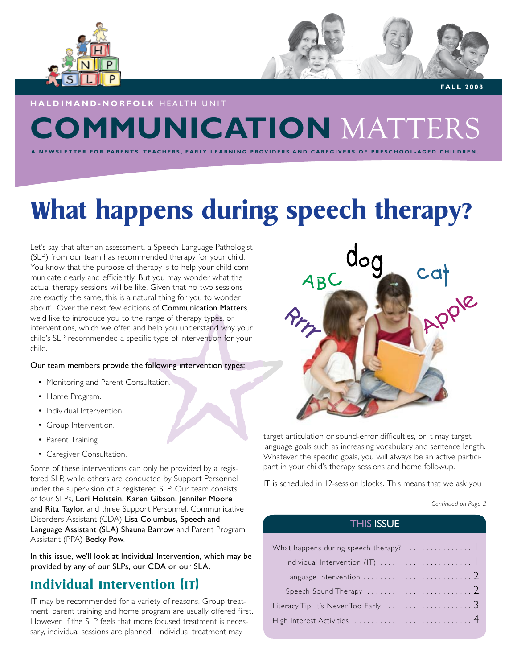



 **FALL 2008**

### **COMMUNICATION** MATTERS **h al d iman d - no r fol k** HEALTH UNIT

NEWSLETTER FOR PARENTS. TEACHERS, EARLY LEARNING PROVIDERS AND CAREGIVERS OF PRESCHOOL-AGED CHILDREN.

## **What happens during speech therapy?**

Let's say that after an assessment, a Speech-Language Pathologist (SLP) from our team has recommended therapy for your child. You know that the purpose of therapy is to help your child communicate clearly and efficiently. But you may wonder what the actual therapy sessions will be like. Given that no two sessions are exactly the same, this is a natural thing for you to wonder about! Over the next few editions of Communication Matters, we'd like to introduce you to the range of therapy types, or interventions, which we offer, and help you understand why your child's SLP recommended a specific type of intervention for your child.

### Our team members provide the following intervention types:

- Monitoring and Parent Consultation.
- Home Program.
- Individual Intervention.
- Group Intervention.
- Parent Training.
- Caregiver Consultation.

Some of these interventions can only be provided by a registered SLP, while others are conducted by Support Personnel under the supervision of a registered SLP. Our team consists of four SLPs, Lori Holstein, Karen Gibson, Jennifer Moore and Rita Taylor, and three Support Personnel, Communicative Disorders Assistant (CDA) Lisa Columbus, Speech and Language Assistant (SLA) Shauna Barrow and Parent Program Assistant (PPA) Becky Pow.

In this issue, we'll look at Individual Intervention, which may be provided by any of our SLPs, our CDA or our SLA.

### **Individual Intervention (IT)**

IT may be recommended for a variety of reasons. Group treatment, parent training and home program are usually offered first. However, if the SLP feels that more focused treatment is necessary, individual sessions are planned. Individual treatment may



target articulation or sound-error difficulties, or it may target language goals such as increasing vocabulary and sentence length. Whatever the specific goals, you will always be an active participant in your child's therapy sessions and home followup.

IT is scheduled in 12-session blocks. This means that we ask you

*Continued on Page 2*

### THIS ISSUE

| What happens during speech therapy?                                       |
|---------------------------------------------------------------------------|
|                                                                           |
|                                                                           |
| Speech Sound Therapy $\ldots \ldots \ldots \ldots \ldots \ldots \ldots 2$ |
| Literacy Tip: It's Never Too Early $\dots\dots\dots\dots\dots\dots$       |
|                                                                           |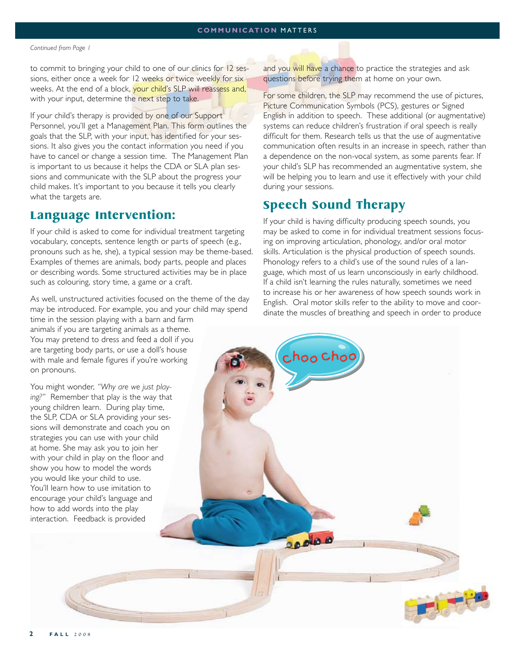#### *Continued from Page 1*

to commit to bringing your child to one of our clinics for 12 sessions, either once a week for 12 weeks or twice weekly for six weeks. At the end of a block, your child's SLP will reassess and, with your input, determine the next step to take.

If your child's therapy is provided by one of our Support Personnel, you'll get a Management Plan. This form outlines the goals that the SLP, with your input, has identified for your sessions. It also gives you the contact information you need if you have to cancel or change a session time. The Management Plan is important to us because it helps the CDA or SLA plan sessions and communicate with the SLP about the progress your child makes. It's important to you because it tells you clearly what the targets are.

### **Language Intervention:**

If your child is asked to come for individual treatment targeting vocabulary, concepts, sentence length or parts of speech (e.g., pronouns such as he, she), a typical session may be theme-based. Examples of themes are animals, body parts, people and places or describing words. Some structured activities may be in place such as colouring, story time, a game or a craft.

As well, unstructured activities focused on the theme of the day may be introduced. For example, you and your child may spend

time in the session playing with a barn and farm animals if you are targeting animals as a theme. You may pretend to dress and feed a doll if you are targeting body parts, or use a doll's house with male and female figures if you're working on pronouns.

You might wonder, *"Why are we just playing?"* Remember that play is the way that young children learn. During play time, the SLP, CDA or SLA providing your sessions will demonstrate and coach you on strategies you can use with your child at home. She may ask you to join her with your child in play on the floor and show you how to model the words you would like your child to use. You'll learn how to use imitation to encourage your child's language and how to add words into the play interaction. Feedback is provided

and you will have a chance to practice the strategies and ask questions before trying them at home on your own.

For some children, the SLP may recommend the use of pictures, Picture Communication Symbols (PCS), gestures or Signed English in addition to speech. These additional (or augmentative) systems can reduce children's frustration if oral speech is really difficult for them. Research tells us that the use of augmentative communication often results in an increase in speech, rather than a dependence on the non-vocal system, as some parents fear. If your child's SLP has recommended an augmentative system, she will be helping you to learn and use it effectively with your child during your sessions.

### **Speech Sound Therapy**

choo choo

**DOOD** 

If your child is having difficulty producing speech sounds, you may be asked to come in for individual treatment sessions focusing on improving articulation, phonology, and/or oral motor skills. Articulation is the physical production of speech sounds. Phonology refers to a child's use of the sound rules of a language, which most of us learn unconsciously in early childhood. If a child isn't learning the rules naturally, sometimes we need to increase his or her awareness of how speech sounds work in English. Oral motor skills refer to the ability to move and coordinate the muscles of breathing and speech in order to produce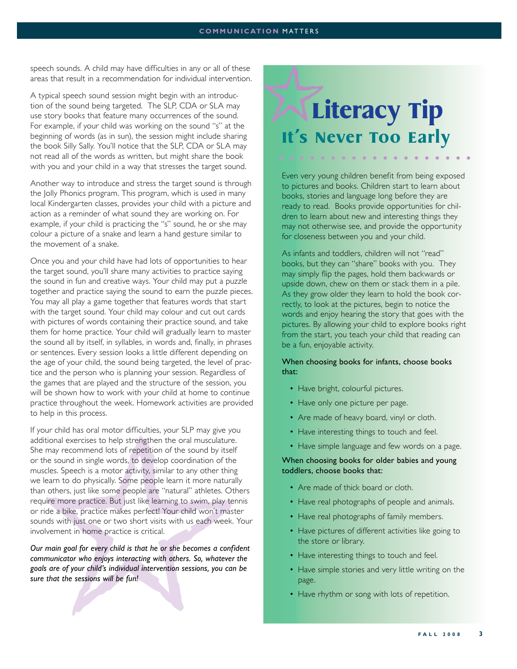### **communication** matters

speech sounds. A child may have difficulties in any or all of these areas that result in a recommendation for individual intervention.

A typical speech sound session might begin with an introduction of the sound being targeted. The SLP, CDA or SLA may use story books that feature many occurrences of the sound. For example, if your child was working on the sound "s" at the beginning of words (as in sun), the session might include sharing the book Silly Sally. You'll notice that the SLP, CDA or SLA may not read all of the words as written, but might share the book with you and your child in a way that stresses the target sound.

Another way to introduce and stress the target sound is through the Jolly Phonics program. This program, which is used in many local Kindergarten classes, provides your child with a picture and action as a reminder of what sound they are working on. For example, if your child is practicing the "s" sound, he or she may colour a picture of a snake and learn a hand gesture similar to the movement of a snake.

Once you and your child have had lots of opportunities to hear the target sound, you'll share many activities to practice saying the sound in fun and creative ways. Your child may put a puzzle together and practice saying the sound to earn the puzzle pieces. You may all play a game together that features words that start with the target sound. Your child may colour and cut out cards with pictures of words containing their practice sound, and take them for home practice. Your child will gradually learn to master the sound all by itself, in syllables, in words and, finally, in phrases or sentences. Every session looks a little different depending on the age of your child, the sound being targeted, the level of practice and the person who is planning your session. Regardless of the games that are played and the structure of the session, you will be shown how to work with your child at home to continue practice throughout the week. Homework activities are provided to help in this process.

If your child has oral motor difficulties, your SLP may give you additional exercises to help strengthen the oral musculature. She may recommend lots of repetition of the sound by itself or the sound in single words, to develop coordination of the muscles. Speech is a motor activity, similar to any other thing we learn to do physically. Some people learn it more naturally than others, just like some people are "natural" athletes. Others require more practice. But just like learning to swim, play tennis or ride a bike, practice makes perfect! Your child won't master sounds with just one or two short visits with us each week. Your involvement in home practice is critical.

*Our main goal for every child is that he or she becomes a confident communicator who enjoys interacting with others. So, whatever the goals are of your child's individual intervention sessions, you can be sure that the sessions will be fun!* 

## **Literacy Tip It's Never Too Early**

Even very young children benefit from being exposed to pictures and books. Children start to learn about books, stories and language long before they are ready to read. Books provide opportunities for children to learn about new and interesting things they may not otherwise see, and provide the opportunity for closeness between you and your child.

As infants and toddlers, children will not "read" books, but they can "share" books with you. They may simply flip the pages, hold them backwards or upside down, chew on them or stack them in a pile. As they grow older they learn to hold the book correctly, to look at the pictures, begin to notice the words and enjoy hearing the story that goes with the pictures. By allowing your child to explore books right from the start, you teach your child that reading can be a fun, enjoyable activity.

### When choosing books for infants, choose books that:

- Have bright, colourful pictures.
- Have only one picture per page.
- Are made of heavy board, vinyl or cloth.
- Have interesting things to touch and feel.
- Have simple language and few words on a page.

### When choosing books for older babies and young toddlers, choose books that:

- Are made of thick board or cloth.
- Have real photographs of people and animals.
- Have real photographs of family members.
- Have pictures of different activities like going to the store or library.
- Have interesting things to touch and feel.
- Have simple stories and very little writing on the page.
- Have rhythm or song with lots of repetition.